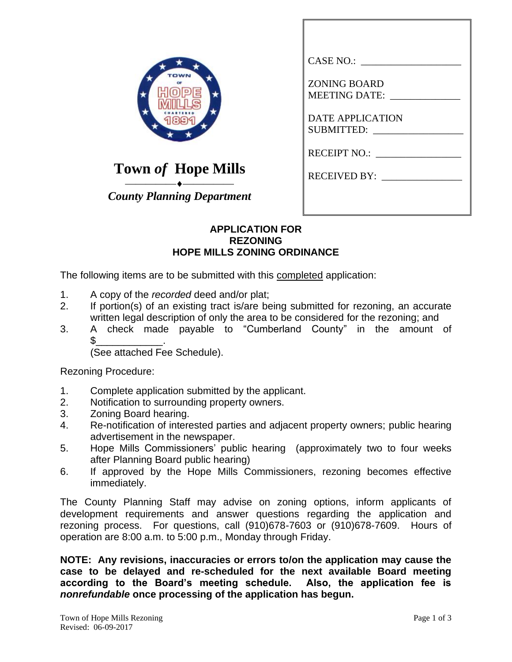| <b>附向</b><br>昌<br>₽<br>e |
|--------------------------|
|                          |
|                          |

**Town** *of* **Hope Mills**

⎯⎯⎯⎯⎯⎯⎯⎯⎯⎯ *County Planning Department*

| CASE NO.:                             |
|---------------------------------------|
| <b>ZONING BOARD</b><br>MEETING DATE:  |
| <b>DATE APPLICATION</b><br>SUBMITTED: |
| RECEIPT NO.:                          |
| RECEIVED BY:                          |
|                                       |

## **APPLICATION FOR REZONING HOPE MILLS ZONING ORDINANCE**

The following items are to be submitted with this completed application:

- 1. A copy of the *recorded* deed and/or plat;
- 2. If portion(s) of an existing tract is/are being submitted for rezoning, an accurate written legal description of only the area to be considered for the rezoning; and
- 3. A check made payable to "Cumberland County" in the amount of  $\text{\$}$ \_\_\_\_\_\_\_\_\_\_\_\_\_\_\_\_\_\_.

(See attached Fee Schedule).

Rezoning Procedure:

- 1. Complete application submitted by the applicant.
- 2. Notification to surrounding property owners.
- 3. Zoning Board hearing.
- 4. Re-notification of interested parties and adjacent property owners; public hearing advertisement in the newspaper.
- 5. Hope Mills Commissioners' public hearing (approximately two to four weeks after Planning Board public hearing)
- 6. If approved by the Hope Mills Commissioners, rezoning becomes effective immediately.

The County Planning Staff may advise on zoning options, inform applicants of development requirements and answer questions regarding the application and rezoning process. For questions, call (910)678-7603 or (910)678-7609. Hours of operation are 8:00 a.m. to 5:00 p.m., Monday through Friday.

**NOTE: Any revisions, inaccuracies or errors to/on the application may cause the case to be delayed and re-scheduled for the next available Board meeting according to the Board's meeting schedule. Also, the application fee is**  *nonrefundable* **once processing of the application has begun.**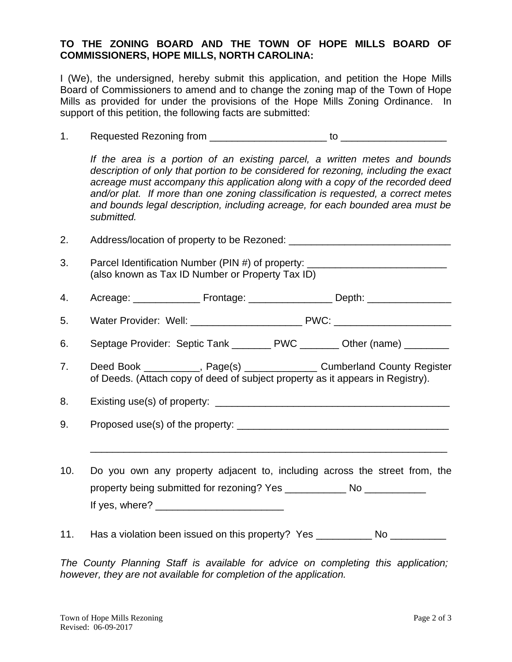## **TO THE ZONING BOARD AND THE TOWN OF HOPE MILLS BOARD OF COMMISSIONERS, HOPE MILLS, NORTH CAROLINA:**

I (We), the undersigned, hereby submit this application, and petition the Hope Mills Board of Commissioners to amend and to change the zoning map of the Town of Hope Mills as provided for under the provisions of the Hope Mills Zoning Ordinance. In support of this petition, the following facts are submitted:

1. Requested Rezoning from \_\_\_\_\_\_\_\_\_\_\_\_\_\_\_\_\_\_\_\_\_ to \_\_\_\_\_\_\_\_\_\_\_\_\_\_\_\_\_\_\_

*If the area is a portion of an existing parcel, a written metes and bounds description of only that portion to be considered for rezoning, including the exact acreage must accompany this application along with a copy of the recorded deed and/or plat. If more than one zoning classification is requested, a correct metes and bounds legal description, including acreage, for each bounded area must be submitted.*

2. Address/location of property to be Rezoned: 3. Parcel Identification Number (PIN #) of property: (also known as Tax ID Number or Property Tax ID)

- 4. Acreage: \_\_\_\_\_\_\_\_\_\_\_\_\_\_\_\_ Frontage: \_\_\_\_\_\_\_\_\_\_\_\_\_\_\_\_\_\_\_\_ Depth: \_\_\_\_\_\_\_\_\_\_\_\_\_
- 5. Water Provider: Well: \_\_\_\_\_\_\_\_\_\_\_\_\_\_\_\_\_\_\_\_\_\_\_\_\_ PWC: \_\_\_\_\_\_\_\_\_\_\_\_\_\_\_\_\_\_\_\_\_\_\_\_
- 6. Septage Provider: Septic Tank \_\_\_\_\_\_\_ PWC \_\_\_\_\_\_\_ Other (name) \_\_\_\_\_\_\_
- 7. Deed Book \_\_\_\_\_\_\_\_\_, Page(s) \_\_\_\_\_\_\_\_\_\_\_\_\_\_ Cumberland County Register of Deeds. (Attach copy of deed of subject property as it appears in Registry).

8. Existing use(s) of property: \_\_\_\_\_\_\_\_\_\_\_\_\_\_\_\_\_\_\_\_\_\_\_\_\_\_\_\_\_\_\_\_\_\_\_\_\_\_\_\_\_\_

9. Proposed use(s) of the property:

10. Do you own any property adjacent to, including across the street from, the property being submitted for rezoning? Yes Mo If yes, where?  $\overline{\phantom{a}}$ 

\_\_\_\_\_\_\_\_\_\_\_\_\_\_\_\_\_\_\_\_\_\_\_\_\_\_\_\_\_\_\_\_\_\_\_\_\_\_\_\_\_\_\_\_\_\_\_\_\_\_\_\_\_\_\_\_\_\_\_\_\_\_\_\_

11. Has a violation been issued on this property? Yes \_\_\_\_\_\_\_\_\_ No \_\_\_\_\_\_\_\_\_

*The County Planning Staff is available for advice on completing this application; however, they are not available for completion of the application.*